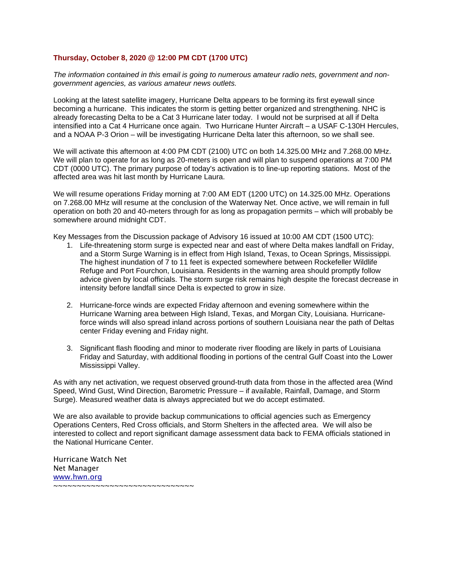## **Thursday, October 8, 2020 @ 12:00 PM CDT (1700 UTC)**

*The information contained in this email is going to numerous amateur radio nets, government and nongovernment agencies, as various amateur news outlets.*

Looking at the latest satellite imagery, Hurricane Delta appears to be forming its first eyewall since becoming a hurricane. This indicates the storm is getting better organized and strengthening. NHC is already forecasting Delta to be a Cat 3 Hurricane later today. I would not be surprised at all if Delta intensified into a Cat 4 Hurricane once again. Two Hurricane Hunter Aircraft – a USAF C-130H Hercules, and a NOAA P-3 Orion – will be investigating Hurricane Delta later this afternoon, so we shall see.

We will activate this afternoon at 4:00 PM CDT (2100) UTC on both 14.325.00 MHz and 7.268.00 MHz. We will plan to operate for as long as 20-meters is open and will plan to suspend operations at 7:00 PM CDT (0000 UTC). The primary purpose of today's activation is to line-up reporting stations. Most of the affected area was hit last month by Hurricane Laura.

We will resume operations Friday morning at 7:00 AM EDT (1200 UTC) on 14.325.00 MHz. Operations on 7.268.00 MHz will resume at the conclusion of the Waterway Net. Once active, we will remain in full operation on both 20 and 40-meters through for as long as propagation permits – which will probably be somewhere around midnight CDT.

Key Messages from the Discussion package of Advisory 16 issued at 10:00 AM CDT (1500 UTC):

- 1. Life-threatening storm surge is expected near and east of where Delta makes landfall on Friday, and a Storm Surge Warning is in effect from High Island, Texas, to Ocean Springs, Mississippi. The highest inundation of 7 to 11 feet is expected somewhere between Rockefeller Wildlife Refuge and Port Fourchon, Louisiana. Residents in the warning area should promptly follow advice given by local officials. The storm surge risk remains high despite the forecast decrease in intensity before landfall since Delta is expected to grow in size.
- 2. Hurricane-force winds are expected Friday afternoon and evening somewhere within the Hurricane Warning area between High Island, Texas, and Morgan City, Louisiana. Hurricaneforce winds will also spread inland across portions of southern Louisiana near the path of Deltas center Friday evening and Friday night.
- 3. Significant flash flooding and minor to moderate river flooding are likely in parts of Louisiana Friday and Saturday, with additional flooding in portions of the central Gulf Coast into the Lower Mississippi Valley.

As with any net activation, we request observed ground-truth data from those in the affected area (Wind Speed, Wind Gust, Wind Direction, Barometric Pressure – if available, Rainfall, Damage, and Storm Surge). Measured weather data is always appreciated but we do accept estimated.

We are also available to provide backup communications to official agencies such as Emergency Operations Centers, Red Cross officials, and Storm Shelters in the affected area. We will also be interested to collect and report significant damage assessment data back to FEMA officials stationed in the National Hurricane Center.

Hurricane Watch Net Net Manager [www.hwn.org](http://www.hwn.org/) ~~~~~~~~~~~~~~~~~~~~~~~~~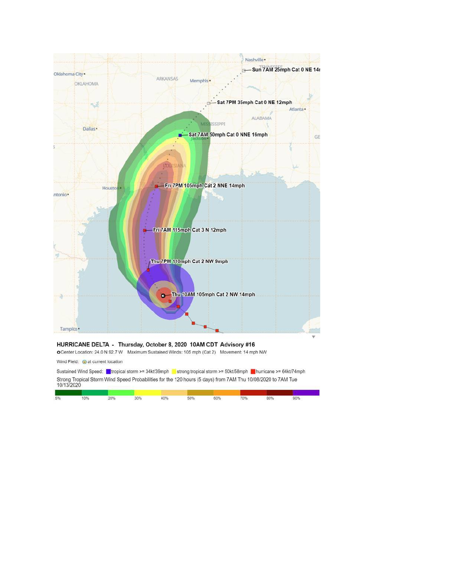

## HURRICANE DELTA - Thursday, October 8, 2020 10AM CDT Advisory #16

O Center Location: 24.0 N 92.7 W Maximum Sustained Winds: 105 mph (Cat 2) Movement: 14 mph NW

Wind Field: cat current location

|            | Sustained Wind Speed: Intropical storm >= 34kt/39mph | strong tropical storm >= 50kt/58mph $\Box$ hurricane >= 64kt/74mph                                           |  |
|------------|------------------------------------------------------|--------------------------------------------------------------------------------------------------------------|--|
| 10/13/2020 |                                                      | Strong Tropical Storm Wind Speed Probabilities for the 120 hours (5 days) from 7AM Thu 10/08/2020 to 7AM Tue |  |
|            |                                                      |                                                                                                              |  |

|  |  |  | 5% 10% 20% 30% 40% 50% 60% 70% 80% 90% 90% |  |  |
|--|--|--|--------------------------------------------|--|--|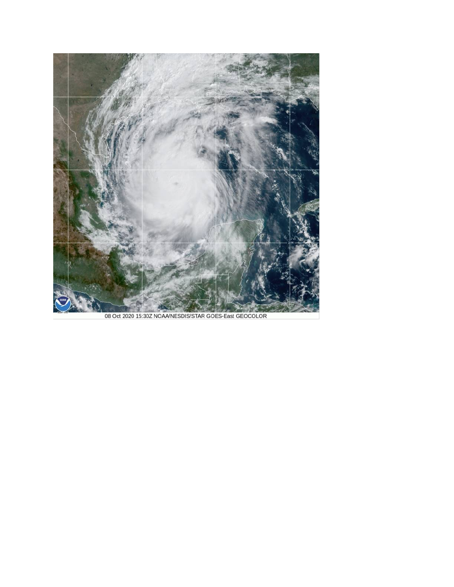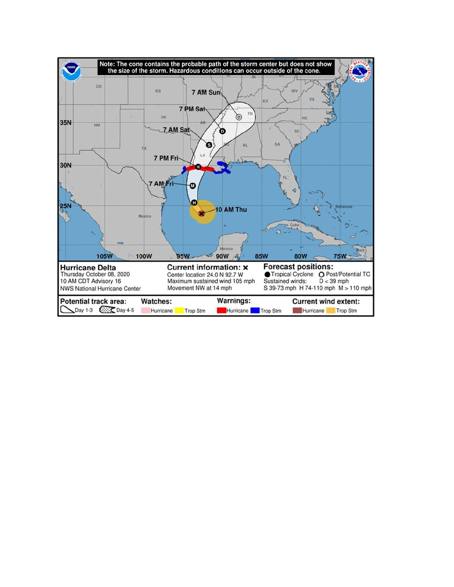